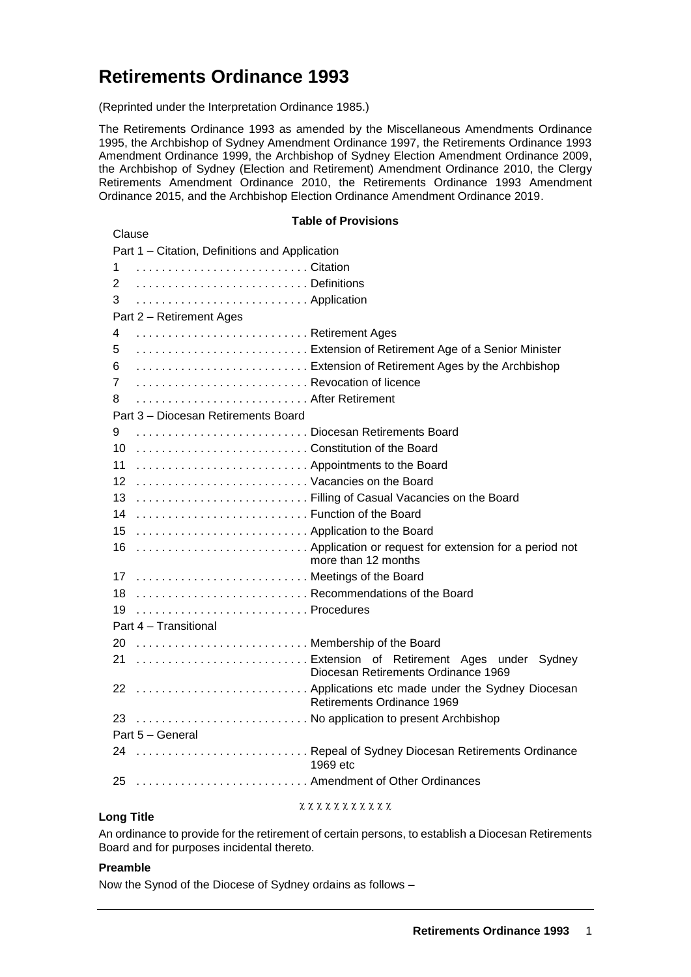# **Retirements Ordinance 1993**

(Reprinted under the Interpretation Ordinance 1985.)

The Retirements Ordinance 1993 as amended by the Miscellaneous Amendments Ordinance 1995, the Archbishop of Sydney Amendment Ordinance 1997, the Retirements Ordinance 1993 Amendment Ordinance 1999, the Archbishop of Sydney Election Amendment Ordinance 2009, the Archbishop of Sydney (Election and Retirement) Amendment Ordinance 2010, the Clergy Retirements Amendment Ordinance 2010, the Retirements Ordinance 1993 Amendment Ordinance 2015, and the Archbishop Election Ordinance Amendment Ordinance 2019.

#### **Table of Provisions**

| Clause                                                                               |
|--------------------------------------------------------------------------------------|
| Part 1 - Citation, Definitions and Application                                       |
| 1                                                                                    |
| 2                                                                                    |
| 3<br>Application                                                                     |
| Part 2 - Retirement Ages                                                             |
| Retirement Ages<br>4                                                                 |
| Extension of Retirement Age of a Senior Minister<br>5                                |
| 6                                                                                    |
| Revocation of licence<br>7                                                           |
| After Retirement<br>8                                                                |
| Part 3 - Diocesan Retirements Board                                                  |
| 9<br>Diocesan Retirements Board                                                      |
| Constitution of the Board<br>10                                                      |
| 11<br>Appointments to the Board                                                      |
| 12<br>Vacancies on the Board                                                         |
| Filling of Casual Vacancies on the Board<br>13                                       |
| Function of the Board<br>14                                                          |
| Application to the Board<br>15                                                       |
| 16                                                                                   |
| more than 12 months                                                                  |
| Meetings of the Board<br>17                                                          |
| Recommendations of the Board<br>18                                                   |
| Procedures<br>19                                                                     |
| Part 4 - Transitional                                                                |
| Membership of the Board<br>20                                                        |
| 21  Extension of Retirement Ages under Sydney<br>Diocesan Retirements Ordinance 1969 |
| 22  Applications etc made under the Sydney Diocesan                                  |
| Retirements Ordinance 1969                                                           |
| 23  No application to present Archbishop                                             |
| Part 5 - General                                                                     |
| 24  Repeal of Sydney Diocesan Retirements Ordinance                                  |
| 1969 etc                                                                             |
| 25  Amendment of Other Ordinances                                                    |
|                                                                                      |

#### $x x x x x x x x x x x x$

# **Long Title**

An ordinance to provide for the retirement of certain persons, to establish a Diocesan Retirements Board and for purposes incidental thereto.

## **Preamble**

Now the Synod of the Diocese of Sydney ordains as follows –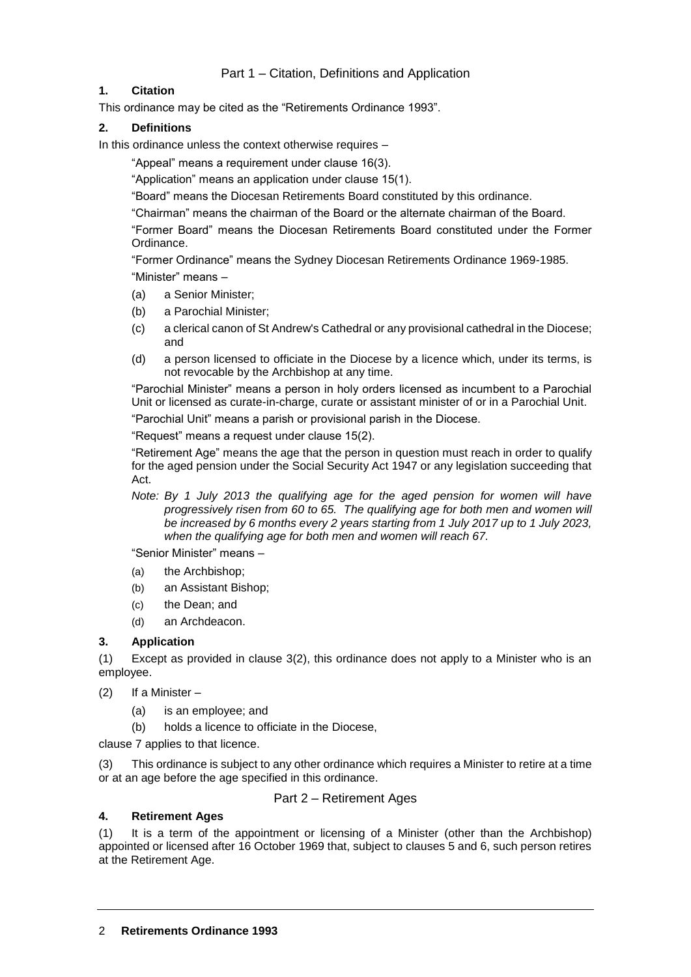# **1. Citation**

This ordinance may be cited as the "Retirements Ordinance 1993".

## **2. Definitions**

In this ordinance unless the context otherwise requires –

"Appeal" means a requirement under clause 16(3).

"Application" means an application under clause 15(1).

"Board" means the Diocesan Retirements Board constituted by this ordinance.

"Chairman" means the chairman of the Board or the alternate chairman of the Board.

"Former Board" means the Diocesan Retirements Board constituted under the Former Ordinance.

"Former Ordinance" means the Sydney Diocesan Retirements Ordinance 1969-1985. "Minister" means –

- (a) a Senior Minister;
- (b) a Parochial Minister;
- (c) a clerical canon of St Andrew's Cathedral or any provisional cathedral in the Diocese; and
- (d) a person licensed to officiate in the Diocese by a licence which, under its terms, is not revocable by the Archbishop at any time.

"Parochial Minister" means a person in holy orders licensed as incumbent to a Parochial Unit or licensed as curate-in-charge, curate or assistant minister of or in a Parochial Unit.

"Parochial Unit" means a parish or provisional parish in the Diocese.

"Request" means a request under clause 15(2).

"Retirement Age" means the age that the person in question must reach in order to qualify for the aged pension under the Social Security Act 1947 or any legislation succeeding that Act.

*Note: By 1 July 2013 the qualifying age for the aged pension for women will have progressively risen from 60 to 65. The qualifying age for both men and women will be increased by 6 months every 2 years starting from 1 July 2017 up to 1 July 2023, when the qualifying age for both men and women will reach 67.*

"Senior Minister" means –

- (a) the Archbishop;
- (b) an Assistant Bishop;
- (c) the Dean; and
- (d) an Archdeacon.

## **3. Application**

(1) Except as provided in clause 3(2), this ordinance does not apply to a Minister who is an employee.

- (2) If a Minister
	- (a) is an employee; and
	- (b) holds a licence to officiate in the Diocese,

clause 7 applies to that licence.

(3) This ordinance is subject to any other ordinance which requires a Minister to retire at a time or at an age before the age specified in this ordinance.

## Part 2 – Retirement Ages

## **4. Retirement Ages**

(1) It is a term of the appointment or licensing of a Minister (other than the Archbishop) appointed or licensed after 16 October 1969 that, subject to clauses 5 and 6, such person retires at the Retirement Age.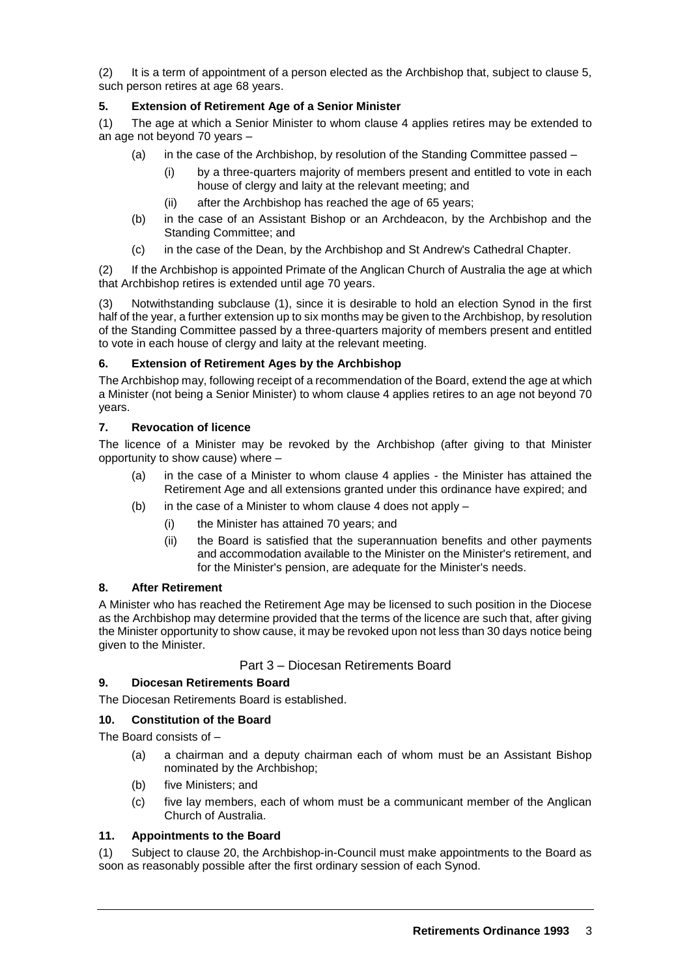(2) It is a term of appointment of a person elected as the Archbishop that, subject to clause 5, such person retires at age 68 years.

## **5. Extension of Retirement Age of a Senior Minister**

(1) The age at which a Senior Minister to whom clause 4 applies retires may be extended to an age not beyond 70 years –

- (a) in the case of the Archbishop, by resolution of the Standing Committee passed
	- by a three-quarters majority of members present and entitled to vote in each house of clergy and laity at the relevant meeting; and
	- (ii) after the Archbishop has reached the age of 65 years;
- (b) in the case of an Assistant Bishop or an Archdeacon, by the Archbishop and the Standing Committee; and
- (c) in the case of the Dean, by the Archbishop and St Andrew's Cathedral Chapter.

(2) If the Archbishop is appointed Primate of the Anglican Church of Australia the age at which that Archbishop retires is extended until age 70 years.

(3) Notwithstanding subclause (1), since it is desirable to hold an election Synod in the first half of the year, a further extension up to six months may be given to the Archbishop, by resolution of the Standing Committee passed by a three-quarters majority of members present and entitled to vote in each house of clergy and laity at the relevant meeting.

## **6. Extension of Retirement Ages by the Archbishop**

The Archbishop may, following receipt of a recommendation of the Board, extend the age at which a Minister (not being a Senior Minister) to whom clause 4 applies retires to an age not beyond 70 years.

## **7. Revocation of licence**

The licence of a Minister may be revoked by the Archbishop (after giving to that Minister opportunity to show cause) where –

- (a) in the case of a Minister to whom clause 4 applies the Minister has attained the Retirement Age and all extensions granted under this ordinance have expired; and
- (b) in the case of a Minister to whom clause 4 does not apply  $-$ 
	- (i) the Minister has attained 70 years; and
	- (ii) the Board is satisfied that the superannuation benefits and other payments and accommodation available to the Minister on the Minister's retirement, and for the Minister's pension, are adequate for the Minister's needs.

## **8. After Retirement**

A Minister who has reached the Retirement Age may be licensed to such position in the Diocese as the Archbishop may determine provided that the terms of the licence are such that, after giving the Minister opportunity to show cause, it may be revoked upon not less than 30 days notice being given to the Minister.

## Part 3 – Diocesan Retirements Board

## **9. Diocesan Retirements Board**

The Diocesan Retirements Board is established.

## **10. Constitution of the Board**

The Board consists of –

- (a) a chairman and a deputy chairman each of whom must be an Assistant Bishop nominated by the Archbishop;
- (b) five Ministers; and
- (c) five lay members, each of whom must be a communicant member of the Anglican Church of Australia.

## **11. Appointments to the Board**

(1) Subject to clause 20, the Archbishop-in-Council must make appointments to the Board as soon as reasonably possible after the first ordinary session of each Synod.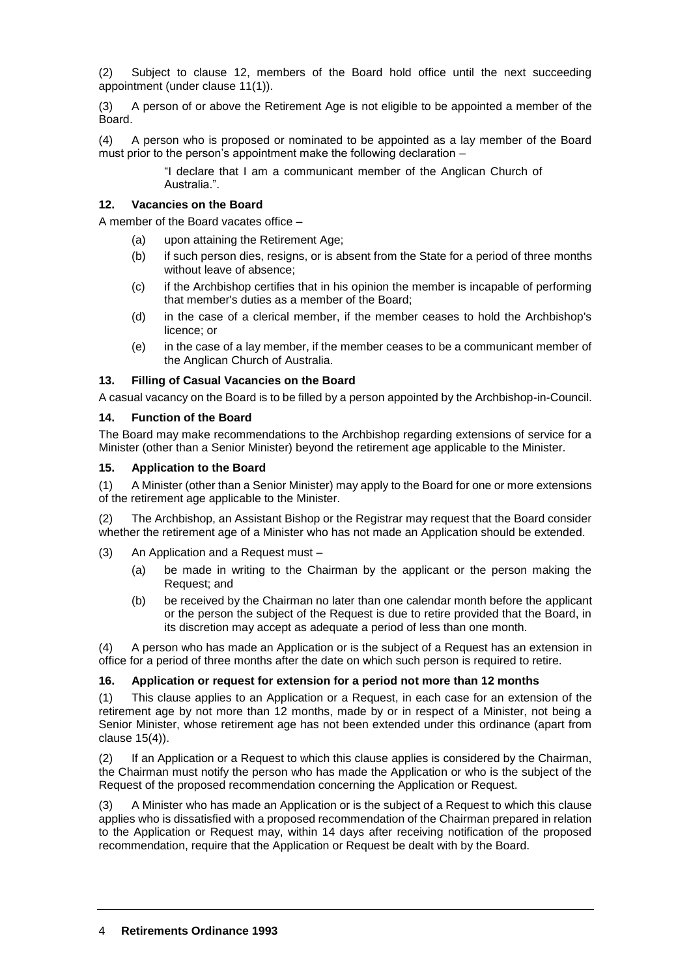(2) Subject to clause 12, members of the Board hold office until the next succeeding appointment (under clause 11(1)).

(3) A person of or above the Retirement Age is not eligible to be appointed a member of the Board.

(4) A person who is proposed or nominated to be appointed as a lay member of the Board must prior to the person's appointment make the following declaration –

> "I declare that I am a communicant member of the Anglican Church of Australia.".

#### **12. Vacancies on the Board**

A member of the Board vacates office –

- (a) upon attaining the Retirement Age;
- (b) if such person dies, resigns, or is absent from the State for a period of three months without leave of absence;
- (c) if the Archbishop certifies that in his opinion the member is incapable of performing that member's duties as a member of the Board;
- (d) in the case of a clerical member, if the member ceases to hold the Archbishop's licence; or
- (e) in the case of a lay member, if the member ceases to be a communicant member of the Anglican Church of Australia.

#### **13. Filling of Casual Vacancies on the Board**

A casual vacancy on the Board is to be filled by a person appointed by the Archbishop-in-Council.

#### **14. Function of the Board**

The Board may make recommendations to the Archbishop regarding extensions of service for a Minister (other than a Senior Minister) beyond the retirement age applicable to the Minister.

#### **15. Application to the Board**

(1) A Minister (other than a Senior Minister) may apply to the Board for one or more extensions of the retirement age applicable to the Minister.

(2) The Archbishop, an Assistant Bishop or the Registrar may request that the Board consider whether the retirement age of a Minister who has not made an Application should be extended.

- (3) An Application and a Request must
	- (a) be made in writing to the Chairman by the applicant or the person making the Request; and
	- (b) be received by the Chairman no later than one calendar month before the applicant or the person the subject of the Request is due to retire provided that the Board, in its discretion may accept as adequate a period of less than one month.

(4) A person who has made an Application or is the subject of a Request has an extension in office for a period of three months after the date on which such person is required to retire.

## **16. Application or request for extension for a period not more than 12 months**

(1) This clause applies to an Application or a Request, in each case for an extension of the retirement age by not more than 12 months, made by or in respect of a Minister, not being a Senior Minister, whose retirement age has not been extended under this ordinance (apart from clause 15(4)).

(2) If an Application or a Request to which this clause applies is considered by the Chairman, the Chairman must notify the person who has made the Application or who is the subject of the Request of the proposed recommendation concerning the Application or Request.

(3) A Minister who has made an Application or is the subject of a Request to which this clause applies who is dissatisfied with a proposed recommendation of the Chairman prepared in relation to the Application or Request may, within 14 days after receiving notification of the proposed recommendation, require that the Application or Request be dealt with by the Board.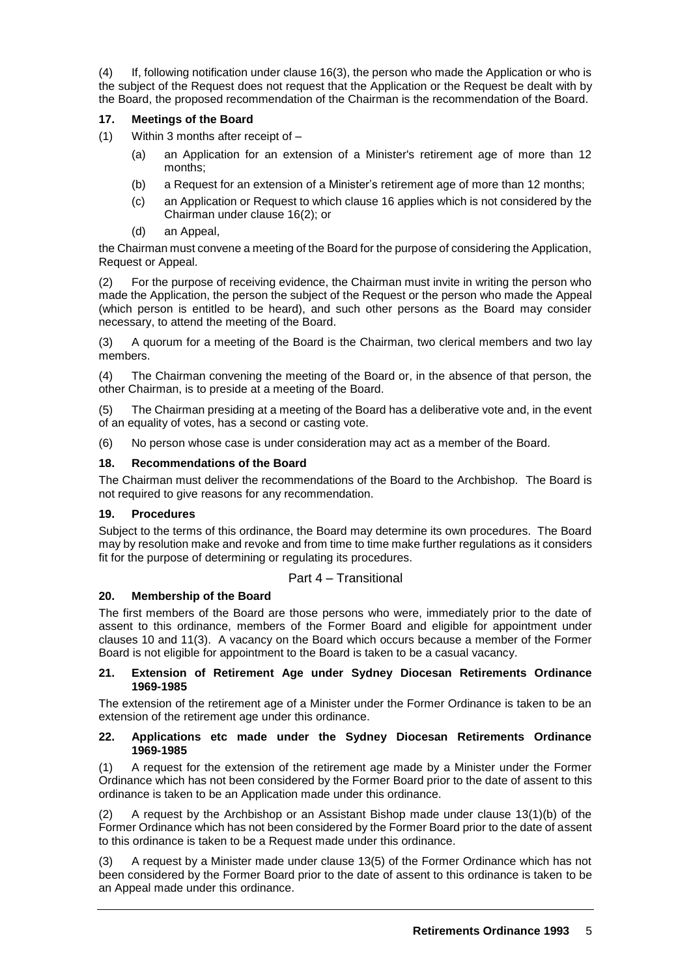(4) If, following notification under clause 16(3), the person who made the Application or who is the subject of the Request does not request that the Application or the Request be dealt with by the Board, the proposed recommendation of the Chairman is the recommendation of the Board.

## **17. Meetings of the Board**

- (1) Within 3 months after receipt of
	- (a) an Application for an extension of a Minister's retirement age of more than 12 months;
	- (b) a Request for an extension of a Minister's retirement age of more than 12 months;
	- (c) an Application or Request to which clause 16 applies which is not considered by the Chairman under clause 16(2); or
	- (d) an Appeal,

the Chairman must convene a meeting of the Board for the purpose of considering the Application, Request or Appeal.

(2) For the purpose of receiving evidence, the Chairman must invite in writing the person who made the Application, the person the subject of the Request or the person who made the Appeal (which person is entitled to be heard), and such other persons as the Board may consider necessary, to attend the meeting of the Board.

(3) A quorum for a meeting of the Board is the Chairman, two clerical members and two lay members.

(4) The Chairman convening the meeting of the Board or, in the absence of that person, the other Chairman, is to preside at a meeting of the Board.

The Chairman presiding at a meeting of the Board has a deliberative vote and, in the event of an equality of votes, has a second or casting vote.

(6) No person whose case is under consideration may act as a member of the Board.

## **18. Recommendations of the Board**

The Chairman must deliver the recommendations of the Board to the Archbishop. The Board is not required to give reasons for any recommendation.

## **19. Procedures**

Subject to the terms of this ordinance, the Board may determine its own procedures. The Board may by resolution make and revoke and from time to time make further regulations as it considers fit for the purpose of determining or regulating its procedures.

# Part 4 – Transitional

# **20. Membership of the Board**

The first members of the Board are those persons who were, immediately prior to the date of assent to this ordinance, members of the Former Board and eligible for appointment under clauses 10 and 11(3). A vacancy on the Board which occurs because a member of the Former Board is not eligible for appointment to the Board is taken to be a casual vacancy.

#### **21. Extension of Retirement Age under Sydney Diocesan Retirements Ordinance 1969-1985**

The extension of the retirement age of a Minister under the Former Ordinance is taken to be an extension of the retirement age under this ordinance.

#### **22. Applications etc made under the Sydney Diocesan Retirements Ordinance 1969-1985**

(1) A request for the extension of the retirement age made by a Minister under the Former Ordinance which has not been considered by the Former Board prior to the date of assent to this ordinance is taken to be an Application made under this ordinance.

(2) A request by the Archbishop or an Assistant Bishop made under clause 13(1)(b) of the Former Ordinance which has not been considered by the Former Board prior to the date of assent to this ordinance is taken to be a Request made under this ordinance.

(3) A request by a Minister made under clause 13(5) of the Former Ordinance which has not been considered by the Former Board prior to the date of assent to this ordinance is taken to be an Appeal made under this ordinance.